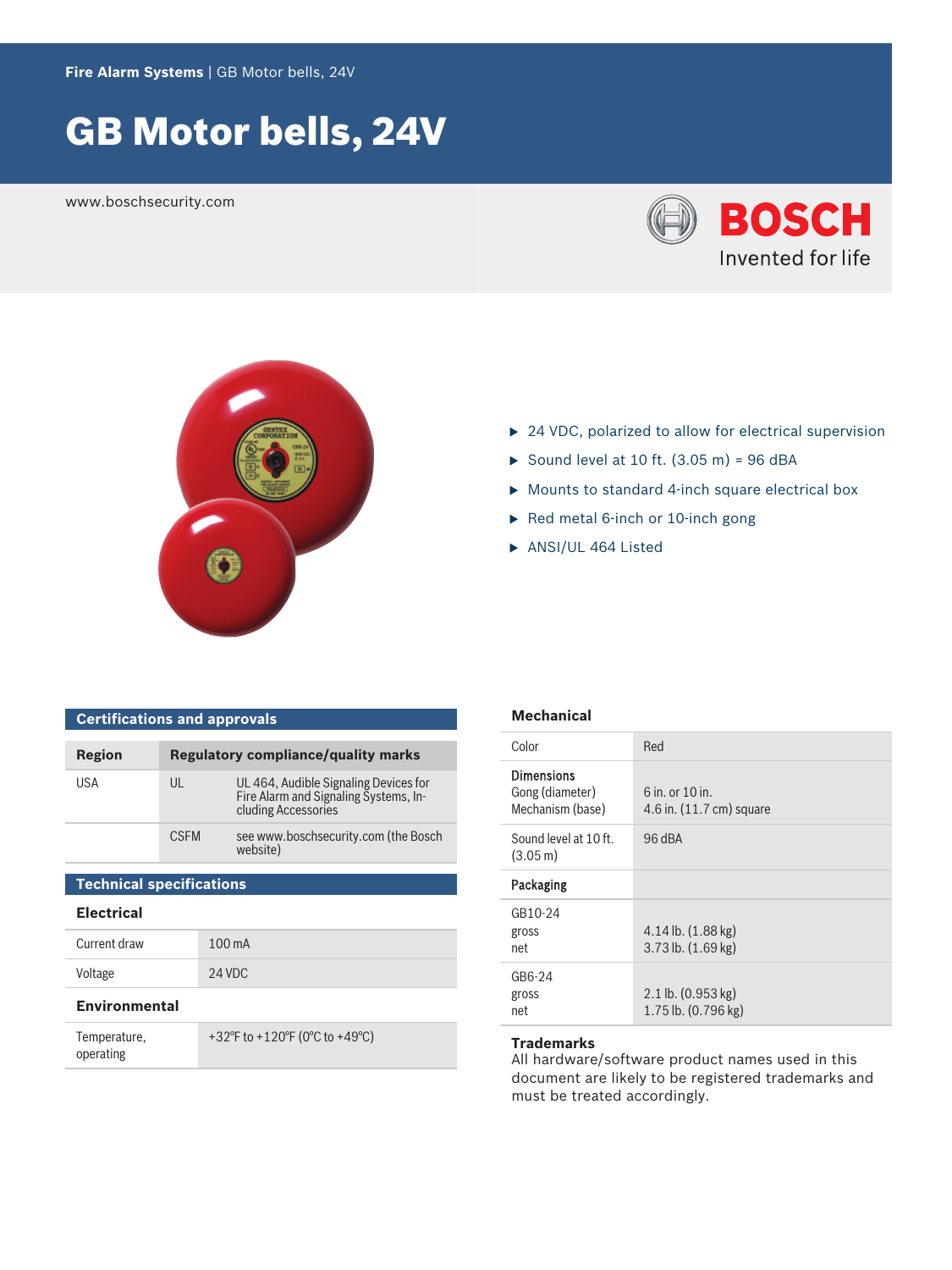**Fire Alarm Systems** | GB Motor bells, 24V

# GB Motor bells, 24V

www.boschsecurity.com





- $\triangleright$  24 VDC, polarized to allow for electrical supervision
- Sound level at 10 ft.  $(3.05 \text{ m}) = 96 \text{ dBA}$
- $\triangleright$  Mounts to standard 4-inch square electrical box
- $\triangleright$  Red metal 6-inch or 10-inch gong
- $\blacktriangleright$  ANSI/UL 464 Listed

| <b>Certifications and approvals</b> |                                            |                                                                                                       |
|-------------------------------------|--------------------------------------------|-------------------------------------------------------------------------------------------------------|
| Region                              | <b>Regulatory compliance/quality marks</b> |                                                                                                       |
| USA                                 | UL                                         | UL 464, Audible Signaling Devices for<br>Fire Alarm and Signaling Systems, In-<br>cluding Accessories |
|                                     | <b>CSFM</b>                                | see www.boschsecurity.com (the Bosch<br>website)                                                      |
| <b>Technical specifications</b>     |                                            |                                                                                                       |

#### **Electrical**

| Current draw | $100 \text{ mA}$ |
|--------------|------------------|
| Voltage      | 24 VDC           |

#### **Environmental**

| Temperature, | +32°F to +120°F (0°C to +49°C) |
|--------------|--------------------------------|
| operating    |                                |

#### **Mechanical**

| Color                                                    | Red                                                     |
|----------------------------------------------------------|---------------------------------------------------------|
| <b>Dimensions</b><br>Gong (diameter)<br>Mechanism (base) | $6$ in or $10$ in<br>4.6 in. $(11.7 \text{ cm})$ square |
| Sound level at 10 ft.<br>$(3.05 \,\mathrm{m})$           | 96 dBA                                                  |
| Packaging                                                |                                                         |
| GB10-24<br>gross<br>net                                  | $4.14$ lb. $(1.88$ kg)<br>$3.73$ lb. $(1.69$ kg)        |
| GB6-24<br>gross<br>net                                   | $2.1$ lb. $(0.953 \text{ kg})$<br>1.75 lb. (0.796 kg)   |

## **Trademarks**

All hardware/software product names used in this document are likely to be registered trademarks and must be treated accordingly.